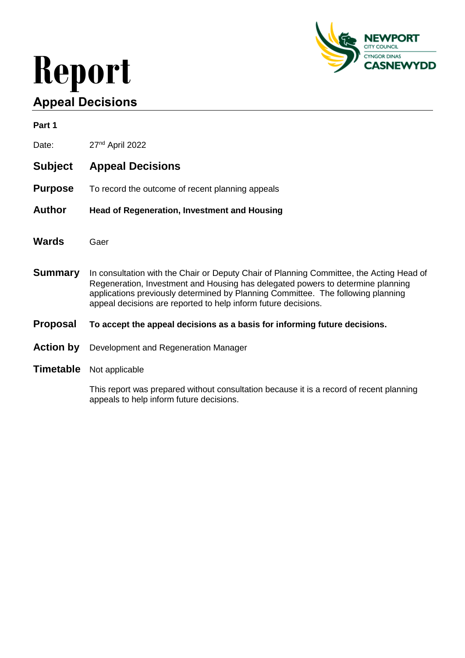# **Report Appeal Decisions**



| Part 1           |                                                                                                                                                                                                                                                                                                                                   |  |
|------------------|-----------------------------------------------------------------------------------------------------------------------------------------------------------------------------------------------------------------------------------------------------------------------------------------------------------------------------------|--|
| Date:            | 27 <sup>nd</sup> April 2022                                                                                                                                                                                                                                                                                                       |  |
| <b>Subject</b>   | <b>Appeal Decisions</b>                                                                                                                                                                                                                                                                                                           |  |
| <b>Purpose</b>   | To record the outcome of recent planning appeals                                                                                                                                                                                                                                                                                  |  |
| <b>Author</b>    | <b>Head of Regeneration, Investment and Housing</b>                                                                                                                                                                                                                                                                               |  |
| <b>Wards</b>     | Gaer                                                                                                                                                                                                                                                                                                                              |  |
| <b>Summary</b>   | In consultation with the Chair or Deputy Chair of Planning Committee, the Acting Head of<br>Regeneration, Investment and Housing has delegated powers to determine planning<br>applications previously determined by Planning Committee. The following planning<br>appeal decisions are reported to help inform future decisions. |  |
| <b>Proposal</b>  | To accept the appeal decisions as a basis for informing future decisions.                                                                                                                                                                                                                                                         |  |
| <b>Action by</b> | Development and Regeneration Manager                                                                                                                                                                                                                                                                                              |  |
| <b>Timetable</b> | Not applicable                                                                                                                                                                                                                                                                                                                    |  |

This report was prepared without consultation because it is a record of recent planning appeals to help inform future decisions.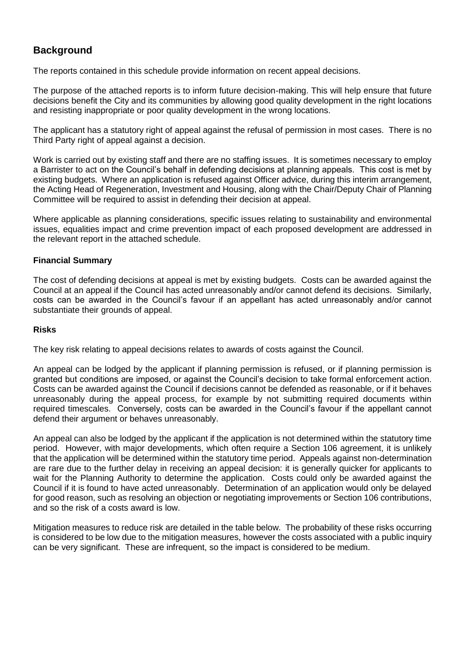# **Background**

The reports contained in this schedule provide information on recent appeal decisions.

The purpose of the attached reports is to inform future decision-making. This will help ensure that future decisions benefit the City and its communities by allowing good quality development in the right locations and resisting inappropriate or poor quality development in the wrong locations.

The applicant has a statutory right of appeal against the refusal of permission in most cases. There is no Third Party right of appeal against a decision.

Work is carried out by existing staff and there are no staffing issues. It is sometimes necessary to employ a Barrister to act on the Council's behalf in defending decisions at planning appeals. This cost is met by existing budgets. Where an application is refused against Officer advice, during this interim arrangement, the Acting Head of Regeneration, Investment and Housing, along with the Chair/Deputy Chair of Planning Committee will be required to assist in defending their decision at appeal.

Where applicable as planning considerations, specific issues relating to sustainability and environmental issues, equalities impact and crime prevention impact of each proposed development are addressed in the relevant report in the attached schedule.

## **Financial Summary**

The cost of defending decisions at appeal is met by existing budgets. Costs can be awarded against the Council at an appeal if the Council has acted unreasonably and/or cannot defend its decisions. Similarly, costs can be awarded in the Council's favour if an appellant has acted unreasonably and/or cannot substantiate their grounds of appeal.

#### **Risks**

The key risk relating to appeal decisions relates to awards of costs against the Council.

An appeal can be lodged by the applicant if planning permission is refused, or if planning permission is granted but conditions are imposed, or against the Council's decision to take formal enforcement action. Costs can be awarded against the Council if decisions cannot be defended as reasonable, or if it behaves unreasonably during the appeal process, for example by not submitting required documents within required timescales. Conversely, costs can be awarded in the Council's favour if the appellant cannot defend their argument or behaves unreasonably.

An appeal can also be lodged by the applicant if the application is not determined within the statutory time period. However, with major developments, which often require a Section 106 agreement, it is unlikely that the application will be determined within the statutory time period. Appeals against non-determination are rare due to the further delay in receiving an appeal decision: it is generally quicker for applicants to wait for the Planning Authority to determine the application. Costs could only be awarded against the Council if it is found to have acted unreasonably. Determination of an application would only be delayed for good reason, such as resolving an objection or negotiating improvements or Section 106 contributions, and so the risk of a costs award is low.

Mitigation measures to reduce risk are detailed in the table below. The probability of these risks occurring is considered to be low due to the mitigation measures, however the costs associated with a public inquiry can be very significant. These are infrequent, so the impact is considered to be medium.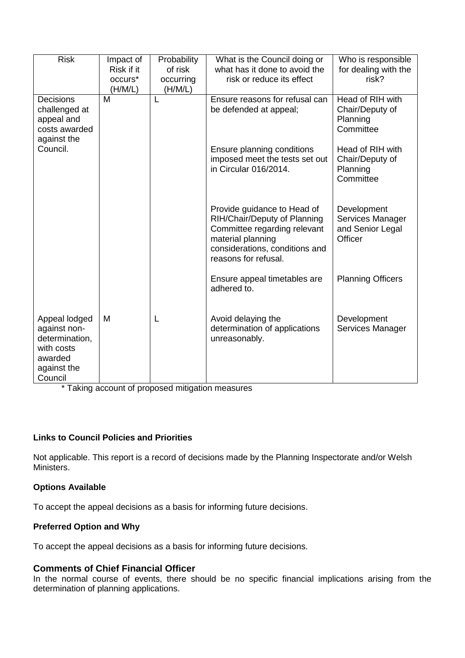| <b>Risk</b>                                                                                        | Impact of<br>Risk if it<br>occurs*<br>(H/M/L) | Probability<br>of risk<br>occurring<br>(H/M/L) | What is the Council doing or<br>what has it done to avoid the<br>risk or reduce its effect                                                                                 | Who is responsible<br>for dealing with the<br>risk?            |
|----------------------------------------------------------------------------------------------------|-----------------------------------------------|------------------------------------------------|----------------------------------------------------------------------------------------------------------------------------------------------------------------------------|----------------------------------------------------------------|
| <b>Decisions</b><br>challenged at<br>appeal and<br>costs awarded<br>against the                    | M                                             | L                                              | Ensure reasons for refusal can<br>be defended at appeal;                                                                                                                   | Head of RIH with<br>Chair/Deputy of<br>Planning<br>Committee   |
| Council.                                                                                           |                                               |                                                | Ensure planning conditions<br>imposed meet the tests set out<br>in Circular 016/2014.                                                                                      | Head of RIH with<br>Chair/Deputy of<br>Planning<br>Committee   |
|                                                                                                    |                                               |                                                | Provide guidance to Head of<br>RIH/Chair/Deputy of Planning<br>Committee regarding relevant<br>material planning<br>considerations, conditions and<br>reasons for refusal. | Development<br>Services Manager<br>and Senior Legal<br>Officer |
|                                                                                                    |                                               |                                                | Ensure appeal timetables are<br>adhered to.                                                                                                                                | <b>Planning Officers</b>                                       |
| Appeal lodged<br>against non-<br>determination,<br>with costs<br>awarded<br>against the<br>Council | M                                             | L                                              | Avoid delaying the<br>determination of applications<br>unreasonably.                                                                                                       | Development<br>Services Manager                                |

\* Taking account of proposed mitigation measures

# **Links to Council Policies and Priorities**

Not applicable. This report is a record of decisions made by the Planning Inspectorate and/or Welsh Ministers.

#### **Options Available**

To accept the appeal decisions as a basis for informing future decisions.

#### **Preferred Option and Why**

To accept the appeal decisions as a basis for informing future decisions.

# **Comments of Chief Financial Officer**

In the normal course of events, there should be no specific financial implications arising from the determination of planning applications.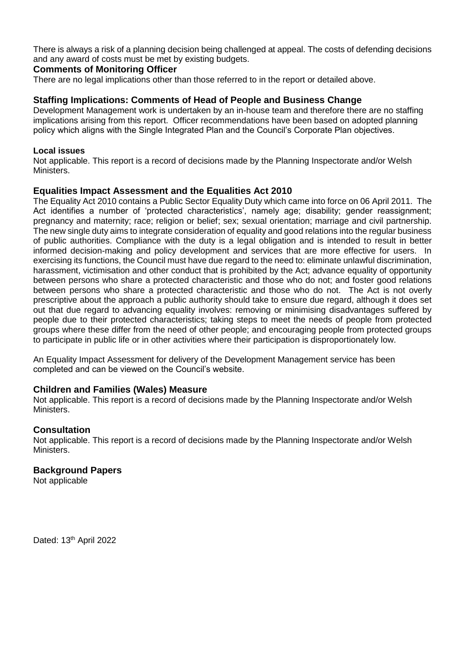There is always a risk of a planning decision being challenged at appeal. The costs of defending decisions and any award of costs must be met by existing budgets.

#### **Comments of Monitoring Officer**

There are no legal implications other than those referred to in the report or detailed above.

#### **Staffing Implications: Comments of Head of People and Business Change**

Development Management work is undertaken by an in-house team and therefore there are no staffing implications arising from this report. Officer recommendations have been based on adopted planning policy which aligns with the Single Integrated Plan and the Council's Corporate Plan objectives.

#### **Local issues**

Not applicable. This report is a record of decisions made by the Planning Inspectorate and/or Welsh Ministers.

## **Equalities Impact Assessment and the Equalities Act 2010**

The Equality Act 2010 contains a Public Sector Equality Duty which came into force on 06 April 2011. The Act identifies a number of 'protected characteristics', namely age; disability; gender reassignment; pregnancy and maternity; race; religion or belief; sex; sexual orientation; marriage and civil partnership. The new single duty aims to integrate consideration of equality and good relations into the regular business of public authorities. Compliance with the duty is a legal obligation and is intended to result in better informed decision-making and policy development and services that are more effective for users. In exercising its functions, the Council must have due regard to the need to: eliminate unlawful discrimination, harassment, victimisation and other conduct that is prohibited by the Act; advance equality of opportunity between persons who share a protected characteristic and those who do not; and foster good relations between persons who share a protected characteristic and those who do not. The Act is not overly prescriptive about the approach a public authority should take to ensure due regard, although it does set out that due regard to advancing equality involves: removing or minimising disadvantages suffered by people due to their protected characteristics; taking steps to meet the needs of people from protected groups where these differ from the need of other people; and encouraging people from protected groups to participate in public life or in other activities where their participation is disproportionately low.

An Equality Impact Assessment for delivery of the Development Management service has been completed and can be viewed on the Council's website.

#### **Children and Families (Wales) Measure**

Not applicable. This report is a record of decisions made by the Planning Inspectorate and/or Welsh Ministers.

#### **Consultation**

Not applicable. This report is a record of decisions made by the Planning Inspectorate and/or Welsh **Ministers.** 

#### **Background Papers**

Not applicable

Dated: 13<sup>th</sup> April 2022